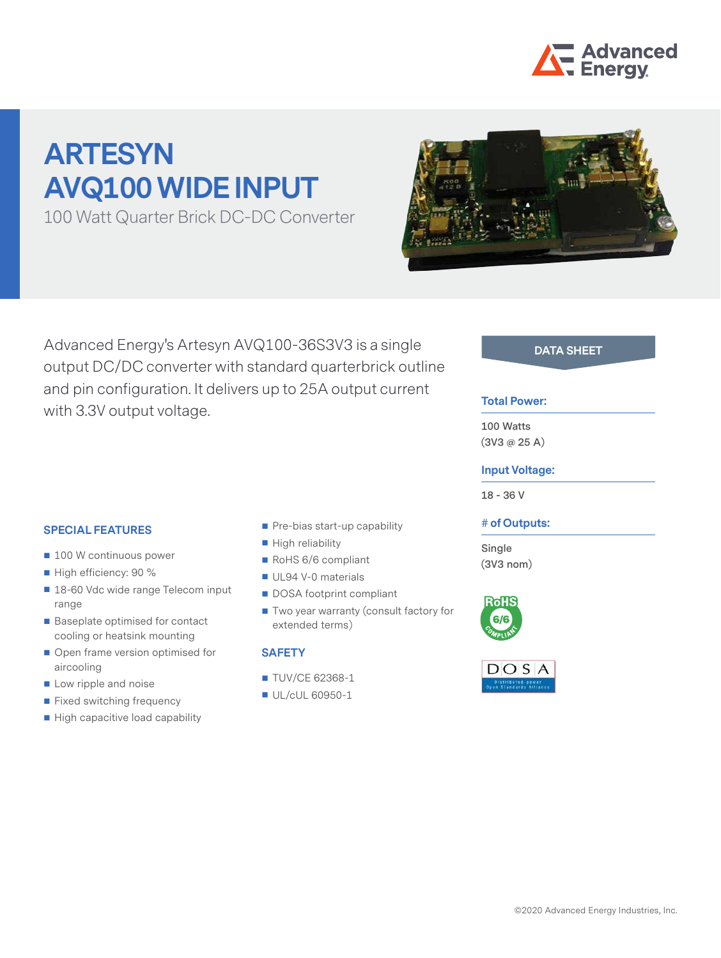

# **ARTESYN AVQ100 WIDE INPUT**

100 Watt Quarter Brick DC-DC Converter



Advanced Energy's Artesyn AVQ100-36S3V3 is a single **DATA SHEET** output DC/DC converter with standard quarterbrick outline and pin configuration. It delivers up to 25A output current with 3.3V output voltage.

#### **Total Power:**

**100 Watts (3V3 @ 25 A)**

#### **Input Voltage:**

**18 - 36 V**

#### **# of Outputs:**

**Single (3V3 nom)**





#### **SPECIAL FEATURES**

- 100 W continuous power
- High efficiency: 90 %
- 18-60 Vdc wide range Telecom input range
- Baseplate optimised for contact cooling or heatsink mounting
- Open frame version optimised for aircooling
- Low ripple and noise
- **Fixed switching frequency**
- High capacitive load capability
- Pre-bias start-up capability
- **High reliability**
- RoHS 6/6 compliant
- UL94 V-0 materials
- DOSA footprint compliant
- Two year warranty (consult factory for extended terms)

#### **SAFETY**

- **TUV/CE 62368-1**
- UL/cUL 60950-1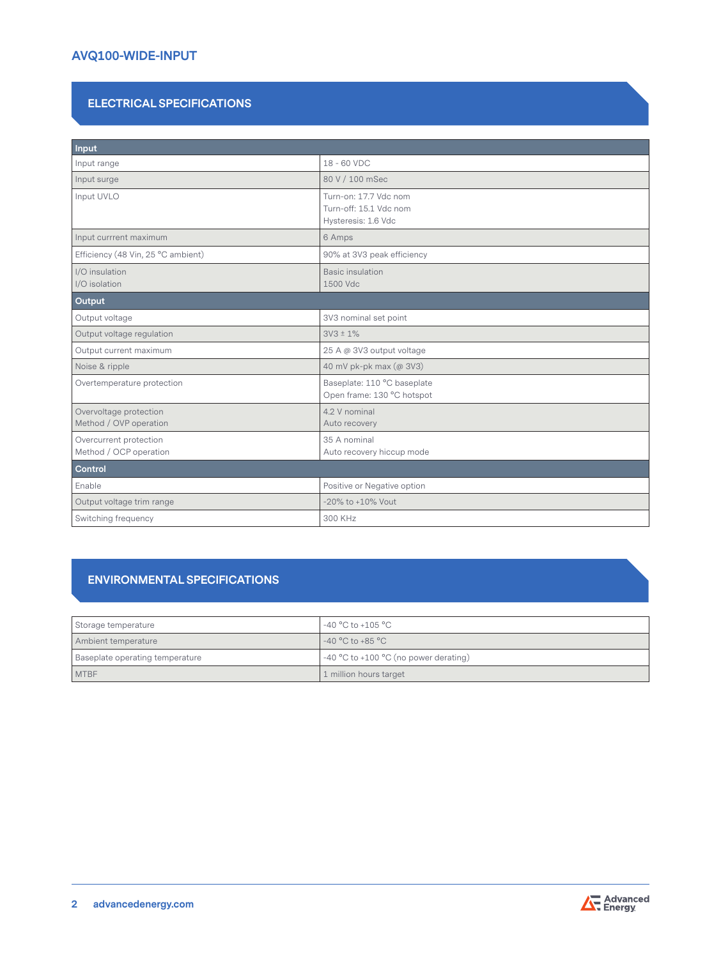# **AVQ100-WIDE-INPUT**

# **ELECTRICAL SPECIFICATIONS**

| Input                                            |                                                                        |  |  |
|--------------------------------------------------|------------------------------------------------------------------------|--|--|
| Input range                                      | 18 - 60 VDC                                                            |  |  |
| Input surge                                      | 80 V / 100 mSec                                                        |  |  |
| Input UVLO                                       | Turn-on: 17.7 Vdc nom<br>Turn-off: 15.1 Vdc nom<br>Hysteresis: 1.6 Vdc |  |  |
| Input currrent maximum                           | 6 Amps                                                                 |  |  |
| Efficiency (48 Vin, 25 °C ambient)               | 90% at 3V3 peak efficiency                                             |  |  |
| I/O insulation<br>I/O isolation                  | <b>Basic insulation</b><br>1500 Vdc                                    |  |  |
| Output                                           |                                                                        |  |  |
| Output voltage                                   | 3V3 nominal set point                                                  |  |  |
| Output voltage regulation                        | $3V3 \pm 1\%$                                                          |  |  |
| Output current maximum                           | 25 A @ 3V3 output voltage                                              |  |  |
| Noise & ripple                                   | 40 mV pk-pk max (@ 3V3)                                                |  |  |
| Overtemperature protection                       | Baseplate: 110 °C baseplate<br>Open frame: 130 °C hotspot              |  |  |
| Overvoltage protection<br>Method / OVP operation | 4.2 V nominal<br>Auto recovery                                         |  |  |
| Overcurrent protection<br>Method / OCP operation | 35 A nominal<br>Auto recovery hiccup mode                              |  |  |
| Control                                          |                                                                        |  |  |
| Enable                                           | Positive or Negative option                                            |  |  |
| Output voltage trim range                        | $-20\%$ to $+10\%$ Vout                                                |  |  |
| Switching frequency                              | 300 KHz                                                                |  |  |

## **ENVIRONMENTAL SPECIFICATIONS**

| Storage temperature             | -40 °C to +105 °C                       |
|---------------------------------|-----------------------------------------|
| Ambient temperature             | $-40 °C$ to $+85 °C$                    |
| Baseplate operating temperature | $-40$ °C to +100 °C (no power derating) |
| <b>MTBF</b>                     | 1 million hours target                  |

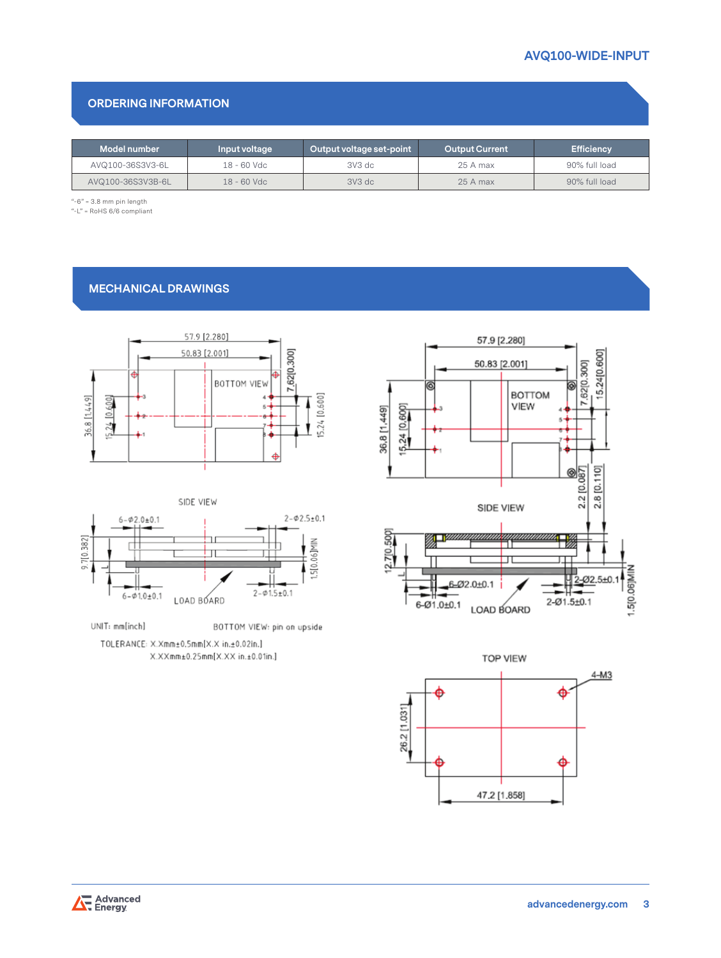## **ORDERING INFORMATION**

| Model number      | Input voltage | Output voltage set-point | <b>Output Current</b> | <b>Efficiency</b> |
|-------------------|---------------|--------------------------|-----------------------|-------------------|
| AVQ100-36S3V3-6L  | 18 - 60 Vdc   | 3V3 dc                   | 25 A max              | 90% full load     |
| AVQ100-36S3V3B-6L | $18 - 60$ Vdc | $3V3$ dc                 | $25A$ max             | 90% full load     |

 $"$ -6" = 3.8 mm pin length

 $"$ -L" = RoHS 6/6 compliant

# **MECHANICAL DRAWINGS**





UNIT: mm[inch] BOTTOM VIEW: pin on upside TOLERANCE: X.Xmm±0.5mm[X.X in.±0.02in.] X.XXmm±0.25mm[X.XX in.±0.01in.]





Advanced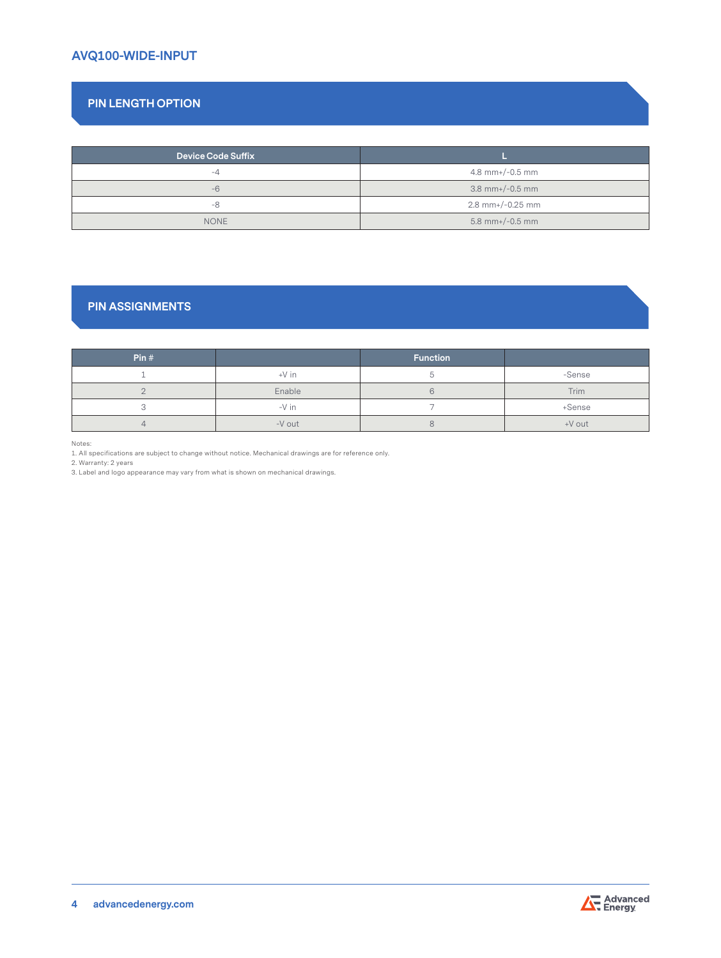# **AVQ100-WIDE-INPUT**

# **PIN LENGTH OPTION**

| <b>Device Code Suffix</b> |                    |  |
|---------------------------|--------------------|--|
|                           |                    |  |
| $-4$                      | 4.8 mm+/-0.5 mm    |  |
| $-6$                      | $3.8$ mm+/-0.5 mm  |  |
| -8                        | $2.8$ mm+/-0.25 mm |  |
| <b>NONE</b>               | $5.8$ mm+/-0.5 mm  |  |

## **PIN ASSIGNMENTS**

| Pin# |         | <b>Function</b> |             |
|------|---------|-----------------|-------------|
|      | $+V$ in |                 | -Sense      |
|      | Enable  |                 | <b>Trim</b> |
|      | $-V$ in |                 | +Sense      |
|      | -V out  |                 | +V out      |

Notes:

1. All specifications are subject to change without notice. Mechanical drawings are for reference only.

2. Warranty: 2 years

3. Label and logo appearance may vary from what is shown on mechanical drawings.